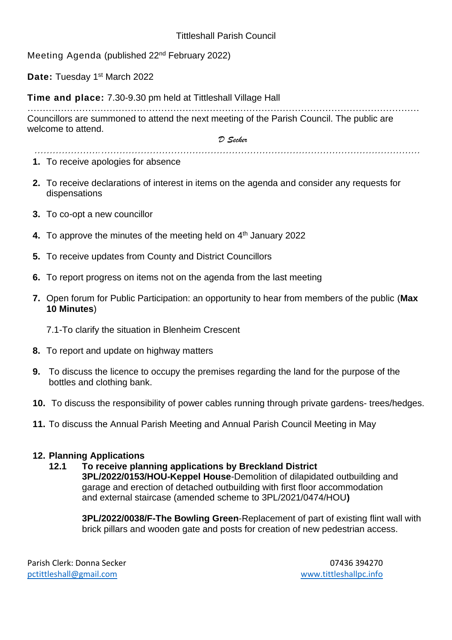### Tittleshall Parish Council

Meeting Agenda (published 22nd February 2022)

Date: Tuesday 1<sup>st</sup> March 2022

**Time and place:** 7.30-9.30 pm held at Tittleshall Village Hall

………………………………………………………………………………………………………………… Councillors are summoned to attend the next meeting of the Parish Council. The public are welcome to attend.

*………………….……………………………………………………………………………………………* 

*D Secker*

- **1.** To receive apologies for absence
- **2.** To receive declarations of interest in items on the agenda and consider any requests for dispensations
- **3.** To co-opt a new councillor
- 4. To approve the minutes of the meeting held on 4<sup>th</sup> January 2022
- **5.** To receive updates from County and District Councillors
- **6.** To report progress on items not on the agenda from the last meeting
- **7.** Open forum for Public Participation: an opportunity to hear from members of the public (**Max 10 Minutes**)
	- 7.1-To clarify the situation in Blenheim Crescent
- **8.** To report and update on highway matters
- **9.** To discuss the licence to occupy the premises regarding the land for the purpose of the bottles and clothing bank.
- **10.** To discuss the responsibility of power cables running through private gardens- trees/hedges.
- **11.** To discuss the Annual Parish Meeting and Annual Parish Council Meeting in May

#### **12. Planning Applications**

**12.1 To receive planning applications by Breckland District 3PL/2022/0153/HOU-Keppel House**-Demolition of dilapidated outbuilding and garage and erection of detached outbuilding with first floor accommodation and external staircase (amended scheme to 3PL/2021/0474/HOU**)** 

**3PL/2022/0038/F-The Bowling Green**-Replacement of part of existing flint wall with brick pillars and wooden gate and posts for creation of new pedestrian access.

Parish Clerk: Donna Secker 07436 394270 [pctittleshall@gmail.com](mailto:pctittleshall@gmail.com) [www.tittleshallpc.info](http://www.tittleshallpc.info/)